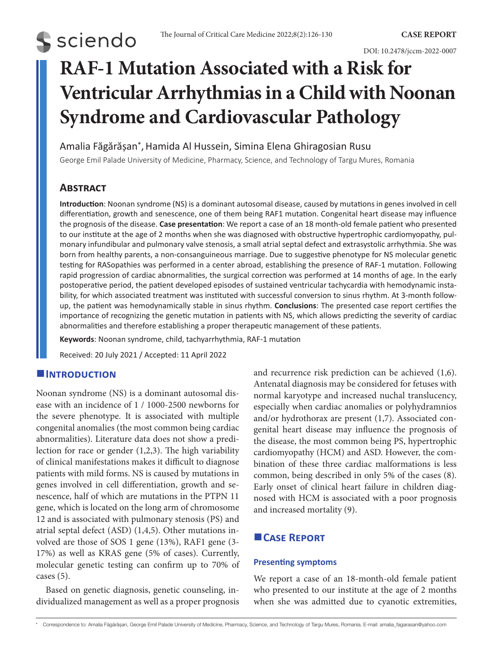# **S** sciendo

DOI: 10.2478/jccm-2022-0007

## **RAF-1 Mutation Associated with a Risk for Ventricular Arrhythmias in a Child with Noonan Syndrome and Cardiovascular Pathology**

Amalia Făgărășan\*,Hamida Al Hussein, Simina Elena Ghiragosian Rusu

George Emil Palade University of Medicine, Pharmacy, Science, and Technology of Targu Mures, Romania

### **Abstract**

**Introduction**: Noonan syndrome (NS) is a dominant autosomal disease, caused by mutations in genes involved in cell differentiation, growth and senescence, one of them being RAF1 mutation. Congenital heart disease may influence the prognosis of the disease. **Case presentation**: We report a case of an 18 month-old female patient who presented to our institute at the age of 2 months when she was diagnosed with obstructive hypertrophic cardiomyopathy, pulmonary infundibular and pulmonary valve stenosis, a small atrial septal defect and extrasystolic arrhythmia. She was born from healthy parents, a non-consanguineous marriage. Due to suggestive phenotype for NS molecular genetic testing for RASopathies was performed in a center abroad, establishing the presence of RAF-1 mutation. Following rapid progression of cardiac abnormalities, the surgical correction was performed at 14 months of age. In the early postoperative period, the patient developed episodes of sustained ventricular tachycardia with hemodynamic instability, for which associated treatment was instituted with successful conversion to sinus rhythm. At 3-month followup, the patient was hemodynamically stable in sinus rhythm. **Conclusions**: The presented case report certifies the importance of recognizing the genetic mutation in patients with NS, which allows predicting the severity of cardiac abnormalities and therefore establishing a proper therapeutic management of these patients.

**Keywords**: Noonan syndrome, child, tachyarrhythmia, RAF-1 mutation

Received: 20 July 2021 / Accepted: 11 April 2022

#### **Introduction**

Noonan syndrome (NS) is a dominant autosomal disease with an incidence of 1 / 1000-2500 newborns for the severe phenotype. It is associated with multiple congenital anomalies (the most common being cardiac abnormalities). Literature data does not show a predilection for race or gender (1,2,3). The high variability of clinical manifestations makes it difficult to diagnose patients with mild forms. NS is caused by mutations in genes involved in cell differentiation, growth and senescence, half of which are mutations in the PTPN 11 gene, which is located on the long arm of chromosome 12 and is associated with pulmonary stenosis (PS) and atrial septal defect (ASD) (1,4,5). Other mutations involved are those of SOS 1 gene (13%), RAF1 gene (3- 17%) as well as KRAS gene (5% of cases). Currently, molecular genetic testing can confirm up to 70% of cases (5).

Based on genetic diagnosis, genetic counseling, individualized management as well as a proper prognosis and recurrence risk prediction can be achieved (1,6). Antenatal diagnosis may be considered for fetuses with normal karyotype and increased nuchal translucency, especially when cardiac anomalies or polyhydramnios and/or hydrothorax are present (1,7). Associated congenital heart disease may influence the prognosis of the disease, the most common being PS, hypertrophic cardiomyopathy (HCM) and ASD. However, the combination of these three cardiac malformations is less common, being described in only 5% of the cases (8). Early onset of clinical heart failure in children diagnosed with HCM is associated with a poor prognosis and increased mortality (9).

#### **Case Report**

#### **Presenting symptoms**

We report a case of an 18-month-old female patient who presented to our institute at the age of 2 months when she was admitted due to cyanotic extremities,

Correspondence to: Amalia Făgărășan, George Emil Palade University of Medicine, Pharmacy, Science, and Technology of Targu Mures, Romania. E-mail: amalia\_fagarasan@yahoo.com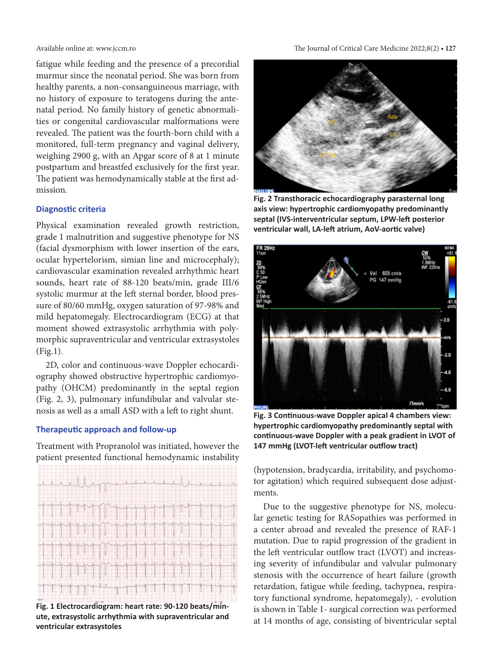fatigue while feeding and the presence of a precordial murmur since the neonatal period. She was born from healthy parents, a non-consanguineous marriage, with no history of exposure to teratogens during the antenatal period. No family history of genetic abnormalities or congenital cardiovascular malformations were revealed. The patient was the fourth-born child with a monitored, full-term pregnancy and vaginal delivery, weighing 2900 g, with an Apgar score of 8 at 1 minute postpartum and breastfed exclusively for the first year. The patient was hemodynamically stable at the first admission.

#### **Diagnostic criteria**

Physical examination revealed growth restriction, grade 1 malnutrition and suggestive phenotype for NS (facial dysmorphism with lower insertion of the ears, ocular hypertelorism, simian line and microcephaly); cardiovascular examination revealed arrhythmic heart sounds, heart rate of 88-120 beats/min, grade III/6 systolic murmur at the left sternal border, blood pressure of 80/60 mmHg, oxygen saturation of 97-98% and mild hepatomegaly. Electrocardiogram (ECG) at that moment showed extrasystolic arrhythmia with polymorphic supraventricular and ventricular extrasystoles (Fig.1).

2D, color and continuous-wave Doppler echocardiography showed obstructive hypertrophic cardiomyopathy (OHCM) predominantly in the septal region (Fig. 2, 3), pulmonary infundibular and valvular stenosis as well as a small ASD with a left to right shunt.

#### **Therapeutic approach and follow-up**

Treatment with Propranolol was initiated, however the patient presented functional hemodynamic instability



**Fig. 1 Electrocardiogram: heart rate: 90-120 beats/minute, extrasystolic arrhythmia with supraventricular and ventricular extrasystoles**

Available online at: www.jccm.ro The Journal of Critical Care Medicine 2022;8(2) **• 127**



**Fig. 2 Transthoracic echocardiography parasternal long axis view: hypertrophic cardiomyopathy predominantly septal (IVS-interventricular septum, LPW-left posterior ventricular wall, LA-left atrium, AoV-aortic valve)**



**Fig. 3 Continuous-wave Doppler apical 4 chambers view: hypertrophic cardiomyopathy predominantly septal with continuous-wave Doppler with a peak gradient in LVOT of 147 mmHg (LVOT-left ventricular outflow tract)**

(hypotension, bradycardia, irritability, and psychomotor agitation) which required subsequent dose adjustments.

Due to the suggestive phenotype for NS, molecular genetic testing for RASopathies was performed in a center abroad and revealed the presence of RAF-1 mutation. Due to rapid progression of the gradient in the left ventricular outflow tract (LVOT) and increasing severity of infundibular and valvular pulmonary stenosis with the occurrence of heart failure (growth retardation, fatigue while feeding, tachypnea, respiratory functional syndrome, hepatomegaly), - evolution is shown in Table 1- surgical correction was performed at 14 months of age, consisting of biventricular septal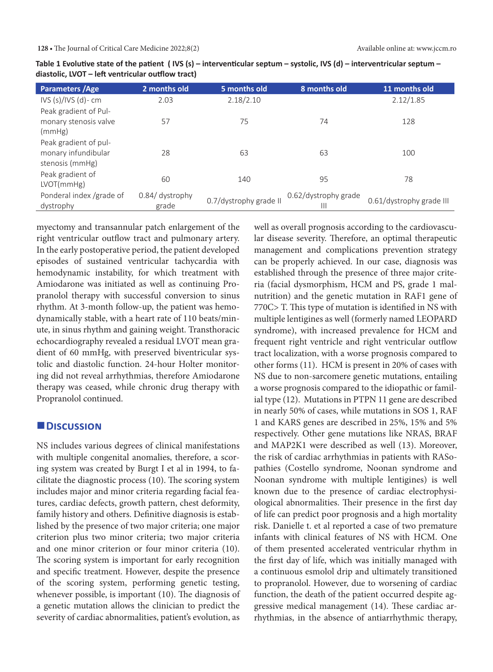| Parameters / Age          | 2 months old             | 5 months old           | 8 months old         | 11 months old            |
|---------------------------|--------------------------|------------------------|----------------------|--------------------------|
| IVS $(s)/$ IVS $(d)$ - cm | 2.03                     | 2.18/2.10              |                      | 2.12/1.85                |
| Peak gradient of Pul-     |                          |                        |                      |                          |
| monary stenosis valve     | 57                       | 75                     | 74                   | 128                      |
| (mmHg)                    |                          |                        |                      |                          |
| Peak gradient of pul-     |                          |                        |                      |                          |
| monary infundibular       | 28                       | 63                     | 63                   | 100                      |
| stenosis (mmHg)           |                          |                        |                      |                          |
| Peak gradient of          | 60                       | 140                    | 95                   | 78                       |
| LVOT(mmHg)                |                          |                        |                      |                          |
| Ponderal index /grade of  | 0.84/ dystrophy<br>grade | 0.7/dystrophy grade II | 0.62/dystrophy grade | 0.61/dystrophy grade III |
| dystrophy                 |                          |                        |                      |                          |

**Table 1 Evolutive state of the patient ( IVS (s) – interventicular septum – systolic, IVS (d) – interventricular septum – diastolic, LVOT – left ventricular outflow tract)**

myectomy and transannular patch enlargement of the right ventricular outflow tract and pulmonary artery. In the early postoperative period, the patient developed episodes of sustained ventricular tachycardia with hemodynamic instability, for which treatment with Amiodarone was initiated as well as continuing Propranolol therapy with successful conversion to sinus rhythm. At 3-month follow-up, the patient was hemodynamically stable, with a heart rate of 110 beats/minute, in sinus rhythm and gaining weight. Transthoracic echocardiography revealed a residual LVOT mean gradient of 60 mmHg, with preserved biventricular systolic and diastolic function. 24-hour Holter monitoring did not reveal arrhythmias, therefore Amiodarone therapy was ceased, while chronic drug therapy with Propranolol continued.

#### **Discussion**

NS includes various degrees of clinical manifestations with multiple congenital anomalies, therefore, a scoring system was created by Burgt I et al in 1994, to facilitate the diagnostic process (10). The scoring system includes major and minor criteria regarding facial features, cardiac defects, growth pattern, chest deformity, family history and others. Definitive diagnosis is established by the presence of two major criteria; one major criterion plus two minor criteria; two major criteria and one minor criterion or four minor criteria (10). The scoring system is important for early recognition and specific treatment. However, despite the presence of the scoring system, performing genetic testing, whenever possible, is important (10). The diagnosis of a genetic mutation allows the clinician to predict the severity of cardiac abnormalities, patient's evolution, as

well as overall prognosis according to the cardiovascular disease severity. Therefore, an optimal therapeutic management and complications prevention strategy can be properly achieved. In our case, diagnosis was established through the presence of three major criteria (facial dysmorphism, HCM and PS, grade 1 malnutrition) and the genetic mutation in RAF1 gene of 770C> T. This type of mutation is identified in NS with multiple lentigines as well (formerly named LEOPARD syndrome), with increased prevalence for HCM and frequent right ventricle and right ventricular outflow tract localization, with a worse prognosis compared to other forms (11). HCM is present in 20% of cases with NS due to non-sarcomere genetic mutations, entailing a worse prognosis compared to the idiopathic or familial type (12). Mutations in PTPN 11 gene are described in nearly 50% of cases, while mutations in SOS 1, RAF 1 and KARS genes are described in 25%, 15% and 5% respectively. Other gene mutations like NRAS, BRAF and MAP2K1 were described as well (13). Moreover, the risk of cardiac arrhythmias in patients with RASopathies (Costello syndrome, Noonan syndrome and Noonan syndrome with multiple lentigines) is well known due to the presence of cardiac electrophysiological abnormalities. Their presence in the first day of life can predict poor prognosis and a high mortality risk. Danielle t. et al reported a case of two premature infants with clinical features of NS with HCM. One of them presented accelerated ventricular rhythm in the first day of life, which was initially managed with a continuous esmolol drip and ultimately transitioned to propranolol. However, due to worsening of cardiac function, the death of the patient occurred despite aggressive medical management (14). These cardiac arrhythmias, in the absence of antiarrhythmic therapy,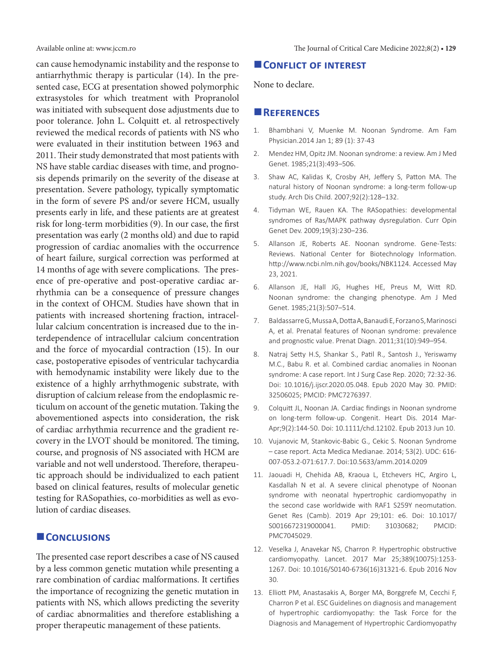can cause hemodynamic instability and the response to antiarrhythmic therapy is particular (14). In the presented case, ECG at presentation showed polymorphic extrasystoles for which treatment with Propranolol was initiated with subsequent dose adjustments due to poor tolerance. John L. Colquitt et. al retrospectively reviewed the medical records of patients with NS who were evaluated in their institution between 1963 and 2011. Their study demonstrated that most patients with NS have stable cardiac diseases with time, and prognosis depends primarily on the severity of the disease at presentation. Severe pathology, typically symptomatic in the form of severe PS and/or severe HCM, usually presents early in life, and these patients are at greatest risk for long-term morbidities (9). In our case, the first presentation was early (2 months old) and due to rapid progression of cardiac anomalies with the occurrence of heart failure, surgical correction was performed at 14 months of age with severe complications. The presence of pre-operative and post-operative cardiac arrhythmia can be a consequence of pressure changes in the context of OHCM. Studies have shown that in patients with increased shortening fraction, intracellular calcium concentration is increased due to the interdependence of intracellular calcium concentration and the force of myocardial contraction (15). In our case, postoperative episodes of ventricular tachycardia with hemodynamic instability were likely due to the existence of a highly arrhythmogenic substrate, with disruption of calcium release from the endoplasmic reticulum on account of the genetic mutation. Taking the abovementioned aspects into consideration, the risk of cardiac arrhythmia recurrence and the gradient recovery in the LVOT should be monitored. The timing, course, and prognosis of NS associated with HCM are variable and not well understood. Therefore, therapeutic approach should be individualized to each patient based on clinical features, results of molecular genetic testing for RASopathies, co-morbidities as well as evolution of cardiac diseases.

#### **Conclusions**

The presented case report describes a case of NS caused by a less common genetic mutation while presenting a rare combination of cardiac malformations. It certifies the importance of recognizing the genetic mutation in patients with NS, which allows predicting the severity of cardiac abnormalities and therefore establishing a proper therapeutic management of these patients.

#### **CONFLICT OF INTEREST**

None to declare.

#### **References**

- 1. Bhambhani V, Muenke M. Noonan Syndrome. Am Fam Physician.2014 Jan 1; 89 (1): 37-43
- 2. Mendez HM, Opitz JM. Noonan syndrome: a review. Am J Med Genet. 1985;21(3):493–506.
- 3. Shaw AC, Kalidas K, Crosby AH, Jeffery S, Patton MA. The natural history of Noonan syndrome: a long-term follow-up study. Arch Dis Child. 2007;92(2):128–132.
- 4. Tidyman WE, Rauen KA. The RASopathies: developmental syndromes of Ras/MAPK pathway dysregulation. Curr Opin Genet Dev. 2009;19(3):230–236.
- 5. Allanson JE, Roberts AE. Noonan syndrome. Gene-Tests: Reviews. National Center for Biotechnology Information. <http://www.ncbi.nlm.nih.gov/books/NBK1124>. Accessed May 23, 2021.
- 6. Allanson JE, Hall JG, Hughes HE, Preus M, Witt RD. Noonan syndrome: the changing phenotype. Am J Med Genet. 1985;21(3):507–514.
- 7. Baldassarre G, Mussa A, Dotta A, Banaudi E, Forzano S, Marinosci A, et al. Prenatal features of Noonan syndrome: prevalence and prognostic value. Prenat Diagn. 2011;31(10):949–954.
- 8. Natraj Setty H.S, Shankar S., Patil R., Santosh J., Yeriswamy M.C., Babu R. et al. Combined cardiac anomalies in Noonan syndrome: A case report. Int J Surg Case Rep. 2020; 72:32-36. Doi: 10.1016/j.ijscr.2020.05.048. Epub 2020 May 30. PMID: 32506025; PMCID: PMC7276397.
- 9. Colquitt JL, Noonan JA. Cardiac findings in Noonan syndrome on long-term follow-up. Congenit. Heart Dis. 2014 Mar-Apr;9(2):144-50. Doi: 10.1111/chd.12102. Epub 2013 Jun 10.
- 10. Vujanovic M, Stankovic-Babic G., Cekic S. Noonan Syndrome – case report. Acta Medica Medianae. 2014; 53(2). UDC: 616- 007-053.2-071:617.7. Doi:10.5633/amm.2014.0209
- 11. Jaouadi H, Chehida AB, Kraoua L, Etchevers HC, Argiro L, Kasdallah N et al. A severe clinical phenotype of Noonan syndrome with neonatal hypertrophic cardiomyopathy in the second case worldwide with RAF1 S259Y neomutation. Genet Res (Camb). 2019 Apr 29;101: e6. Doi: 10.1017/ S0016672319000041. PMID: 31030682; PMCID: PMC7045029.
- 12. [Veselka J,](https://www.ncbi.nlm.nih.gov/pubmed/?term=Veselka%20J%5BAuthor%5D&cauthor=true&cauthor_uid=27912983) Anavekar NS, [Charron P](https://www.ncbi.nlm.nih.gov/pubmed/?term=Charron%20P%5BAuthor%5D&cauthor=true&cauthor_uid=27912983). Hypertrophic obstructive cardiomyopathy. [Lancet.](https://www.ncbi.nlm.nih.gov/pubmed/27912983) 2017 Mar 25;389(10075):1253- 1267. Doi: 10.1016/S0140-6736(16)31321-6. Epub 2016 Nov 30.
- 13. Elliott PM, Anastasakis A, Borger MA, Borggrefe M, Cecchi F, Charron P et al. ESC Guidelines on diagnosis and management of hypertrophic cardiomyopathy: the Task Force for the Diagnosis and Management of Hypertrophic Cardiomyopathy